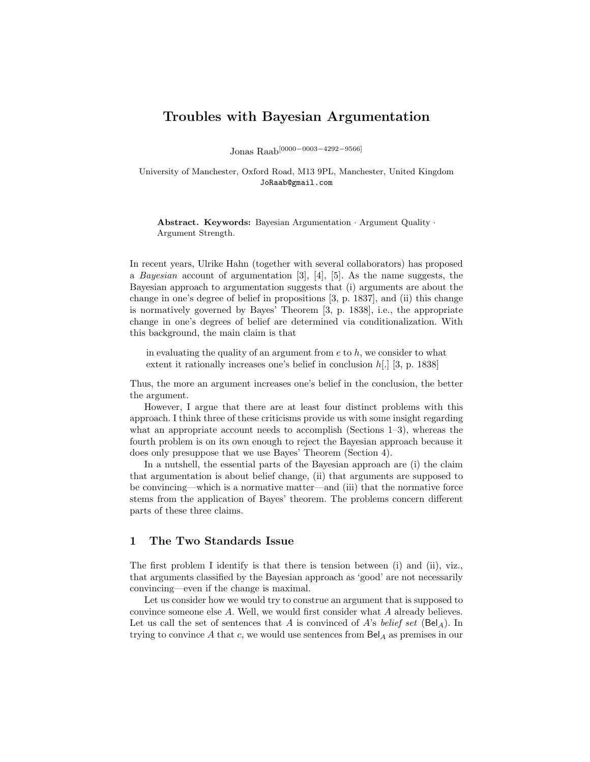# Troubles with Bayesian Argumentation

Jonas Raab[0000−0003−4292−9566]

University of Manchester, Oxford Road, M13 9PL, Manchester, United Kingdom JoRaab@gmail.com

Abstract. Keywords: Bayesian Argumentation · Argument Quality · Argument Strength.

In recent years, Ulrike Hahn (together with several collaborators) has proposed a Bayesian account of argumentation [3], [4], [5]. As the name suggests, the Bayesian approach to argumentation suggests that (i) arguments are about the change in one's degree of belief in propositions [3, p. 1837], and (ii) this change is normatively governed by Bayes' Theorem [3, p. 1838], i.e., the appropriate change in one's degrees of belief are determined via conditionalization. With this background, the main claim is that

in evaluating the quality of an argument from  $e$  to  $h$ , we consider to what extent it rationally increases one's belief in conclusion  $h[.]$  [3, p. 1838]

Thus, the more an argument increases one's belief in the conclusion, the better the argument.

However, I argue that there are at least four distinct problems with this approach. I think three of these criticisms provide us with some insight regarding what an appropriate account needs to accomplish (Sections 1–3), whereas the fourth problem is on its own enough to reject the Bayesian approach because it does only presuppose that we use Bayes' Theorem (Section 4).

In a nutshell, the essential parts of the Bayesian approach are (i) the claim that argumentation is about belief change, (ii) that arguments are supposed to be convincing—which is a normative matter—and (iii) that the normative force stems from the application of Bayes' theorem. The problems concern different parts of these three claims.

## 1 The Two Standards Issue

The first problem I identify is that there is tension between (i) and (ii), viz., that arguments classified by the Bayesian approach as 'good' are not necessarily convincing—even if the change is maximal.

Let us consider how we would try to construe an argument that is supposed to convince someone else A. Well, we would first consider what A already believes. Let us call the set of sentences that A is convinced of A's belief set  $(Bel_A)$ . In trying to convince A that c, we would use sentences from  $\text{Bel}_A$  as premises in our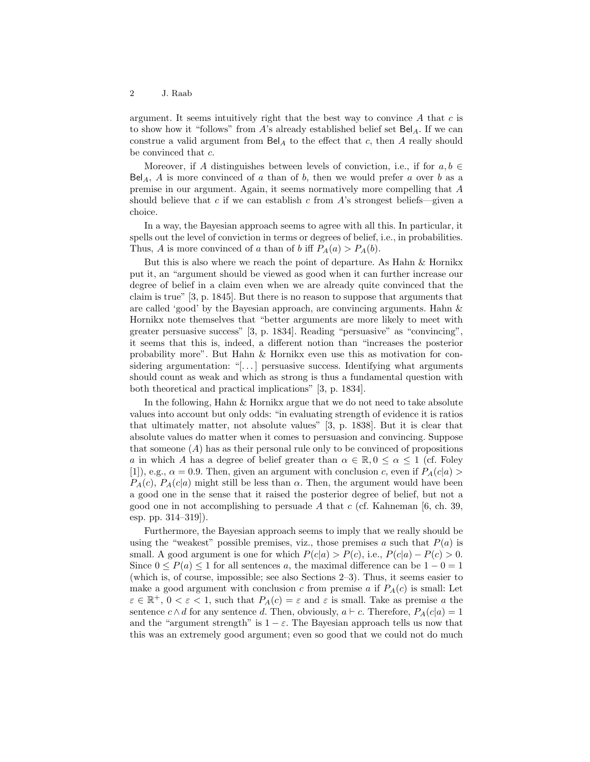argument. It seems intuitively right that the best way to convince  $A$  that  $c$  is to show how it "follows" from A's already established belief set  $Bel_A$ . If we can construe a valid argument from  $\text{Bel}_A$  to the effect that c, then A really should be convinced that c.

Moreover, if A distinguishes between levels of conviction, i.e., if for  $a, b \in$ Bel<sub>A</sub>, A is more convinced of a than of b, then we would prefer a over b as a premise in our argument. Again, it seems normatively more compelling that A should believe that  $c$  if we can establish  $c$  from  $A$ 's strongest beliefs—given a choice.

In a way, the Bayesian approach seems to agree with all this. In particular, it spells out the level of conviction in terms or degrees of belief, i.e., in probabilities. Thus, A is more convinced of a than of b iff  $P_A(a) > P_A(b)$ .

But this is also where we reach the point of departure. As Hahn & Hornikx put it, an "argument should be viewed as good when it can further increase our degree of belief in a claim even when we are already quite convinced that the claim is true" [3, p. 1845]. But there is no reason to suppose that arguments that are called 'good' by the Bayesian approach, are convincing arguments. Hahn & Hornikx note themselves that "better arguments are more likely to meet with greater persuasive success" [3, p. 1834]. Reading "persuasive" as "convincing", it seems that this is, indeed, a different notion than "increases the posterior probability more". But Hahn & Hornikx even use this as motivation for considering argumentation: "[ $\dots$ ] persuasive success. Identifying what arguments should count as weak and which as strong is thus a fundamental question with both theoretical and practical implications" [3, p. 1834].

In the following, Hahn & Hornikx argue that we do not need to take absolute values into account but only odds: "in evaluating strength of evidence it is ratios that ultimately matter, not absolute values" [3, p. 1838]. But it is clear that absolute values do matter when it comes to persuasion and convincing. Suppose that someone  $(A)$  has as their personal rule only to be convinced of propositions a in which A has a degree of belief greater than  $\alpha \in \mathbb{R}, 0 \leq \alpha \leq 1$  (cf. Foley [1]), e.g.,  $\alpha = 0.9$ . Then, given an argument with conclusion c, even if  $P_A(c|a)$  $P_A(c)$ ,  $P_A(c|a)$  might still be less than  $\alpha$ . Then, the argument would have been a good one in the sense that it raised the posterior degree of belief, but not a good one in not accomplishing to persuade A that  $c$  (cf. Kahneman [6, ch. 39, esp. pp. 314–319]).

Furthermore, the Bayesian approach seems to imply that we really should be using the "weakest" possible premises, viz., those premises  $a$  such that  $P(a)$  is small. A good argument is one for which  $P(c|a) > P(c)$ , i.e.,  $P(c|a) - P(c) > 0$ . Since  $0 \le P(a) \le 1$  for all sentences a, the maximal difference can be  $1 - 0 = 1$ (which is, of course, impossible; see also Sections 2–3). Thus, it seems easier to make a good argument with conclusion c from premise a if  $P_A(c)$  is small: Let  $\varepsilon \in \mathbb{R}^+, 0 < \varepsilon < 1$ , such that  $P_A(c) = \varepsilon$  and  $\varepsilon$  is small. Take as premise a the sentence  $c \wedge d$  for any sentence d. Then, obviously,  $a \vdash c$ . Therefore,  $P_A(c|a) = 1$ and the "argument strength" is  $1 - \varepsilon$ . The Bayesian approach tells us now that this was an extremely good argument; even so good that we could not do much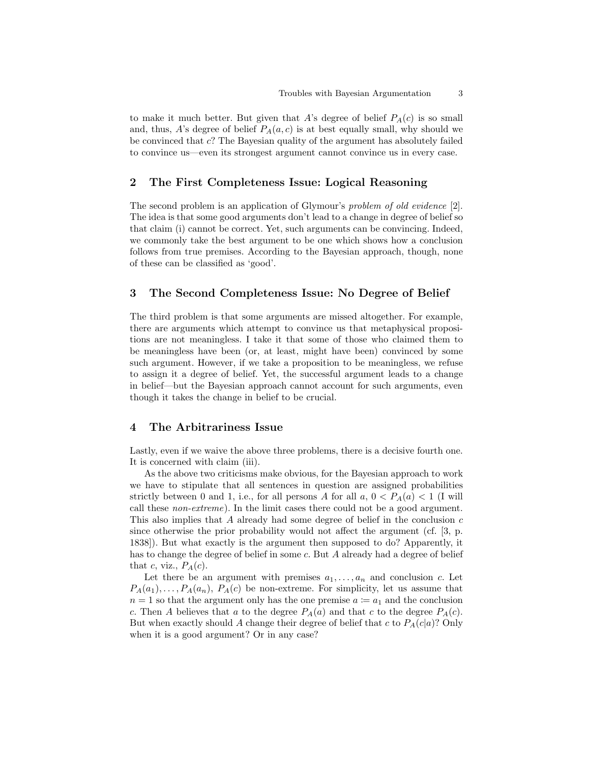to make it much better. But given that A's degree of belief  $P_A(c)$  is so small and, thus, A's degree of belief  $P_A(a, c)$  is at best equally small, why should we be convinced that c? The Bayesian quality of the argument has absolutely failed to convince us—even its strongest argument cannot convince us in every case.

#### 2 The First Completeness Issue: Logical Reasoning

The second problem is an application of Glymour's problem of old evidence [2]. The idea is that some good arguments don't lead to a change in degree of belief so that claim (i) cannot be correct. Yet, such arguments can be convincing. Indeed, we commonly take the best argument to be one which shows how a conclusion follows from true premises. According to the Bayesian approach, though, none of these can be classified as 'good'.

#### 3 The Second Completeness Issue: No Degree of Belief

The third problem is that some arguments are missed altogether. For example, there are arguments which attempt to convince us that metaphysical propositions are not meaningless. I take it that some of those who claimed them to be meaningless have been (or, at least, might have been) convinced by some such argument. However, if we take a proposition to be meaningless, we refuse to assign it a degree of belief. Yet, the successful argument leads to a change in belief—but the Bayesian approach cannot account for such arguments, even though it takes the change in belief to be crucial.

#### 4 The Arbitrariness Issue

Lastly, even if we waive the above three problems, there is a decisive fourth one. It is concerned with claim (iii).

As the above two criticisms make obvious, for the Bayesian approach to work we have to stipulate that all sentences in question are assigned probabilities strictly between 0 and 1, i.e., for all persons A for all  $a, 0 < P_A(a) < 1$  (I will call these non-extreme). In the limit cases there could not be a good argument. This also implies that A already had some degree of belief in the conclusion c since otherwise the prior probability would not affect the argument (cf. [3, p. 1838]). But what exactly is the argument then supposed to do? Apparently, it has to change the degree of belief in some c. But A already had a degree of belief that c, viz.,  $P_A(c)$ .

Let there be an argument with premises  $a_1, \ldots, a_n$  and conclusion c. Let  $P_A(a_1), \ldots, P_A(a_n), P_A(c)$  be non-extreme. For simplicity, let us assume that  $n = 1$  so that the argument only has the one premise  $a := a_1$  and the conclusion c. Then A believes that a to the degree  $P_A(a)$  and that c to the degree  $P_A(c)$ . But when exactly should A change their degree of belief that c to  $P_A(c|a)$ ? Only when it is a good argument? Or in any case?